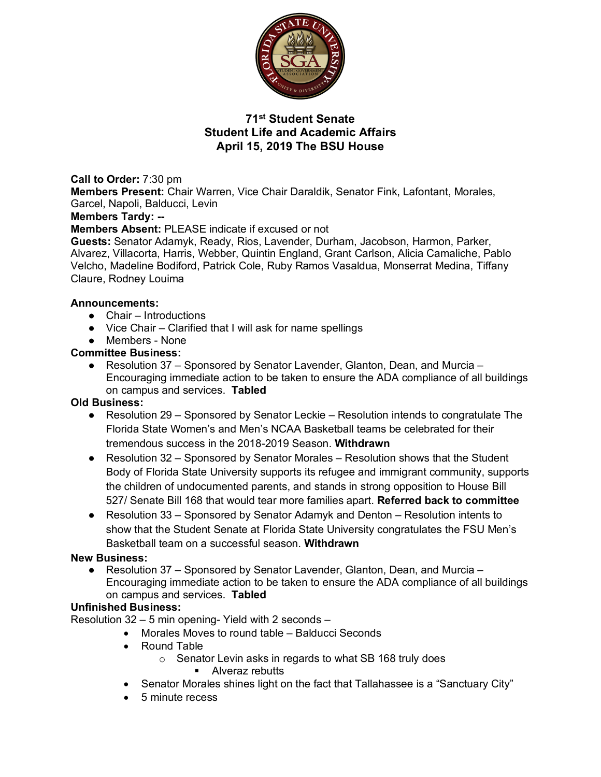

# **71st Student Senate Student Life and Academic Affairs April 15, 2019 The BSU House**

**Call to Order:** 7:30 pm **Members Present:** Chair Warren, Vice Chair Daraldik, Senator Fink, Lafontant, Morales, Garcel, Napoli, Balducci, Levin

### **Members Tardy: --**

**Members Absent:** PLEASE indicate if excused or not

**Guests:** Senator Adamyk, Ready, Rios, Lavender, Durham, Jacobson, Harmon, Parker, Alvarez, Villacorta, Harris, Webber, Quintin England, Grant Carlson, Alicia Camaliche, Pablo Velcho, Madeline Bodiford, Patrick Cole, Ruby Ramos Vasaldua, Monserrat Medina, Tiffany Claure, Rodney Louima

### **Announcements:**

- $\bullet$  Chair Introductions
- Vice Chair Clarified that I will ask for name spellings
- Members None

### **Committee Business:**

● Resolution 37 – Sponsored by Senator Lavender, Glanton, Dean, and Murcia – Encouraging immediate action to be taken to ensure the ADA compliance of all buildings on campus and services. **Tabled**

## **Old Business:**

- Resolution 29 Sponsored by Senator Leckie Resolution intends to congratulate The Florida State Women's and Men's NCAA Basketball teams be celebrated for their tremendous success in the 2018-2019 Season. **Withdrawn**
- Resolution 32 Sponsored by Senator Morales Resolution shows that the Student Body of Florida State University supports its refugee and immigrant community, supports the children of undocumented parents, and stands in strong opposition to House Bill 527/ Senate Bill 168 that would tear more families apart. **Referred back to committee**
- Resolution 33 Sponsored by Senator Adamyk and Denton Resolution intents to show that the Student Senate at Florida State University congratulates the FSU Men's Basketball team on a successful season. **Withdrawn**

## **New Business:**

● Resolution 37 – Sponsored by Senator Lavender, Glanton, Dean, and Murcia – Encouraging immediate action to be taken to ensure the ADA compliance of all buildings on campus and services. **Tabled**

## **Unfinished Business:**

Resolution 32 – 5 min opening- Yield with 2 seconds –

- Morales Moves to round table Balducci Seconds
- Round Table
	- o Senator Levin asks in regards to what SB 168 truly does
		- Alveraz rebutts
- Senator Morales shines light on the fact that Tallahassee is a "Sanctuary City"
- 5 minute recess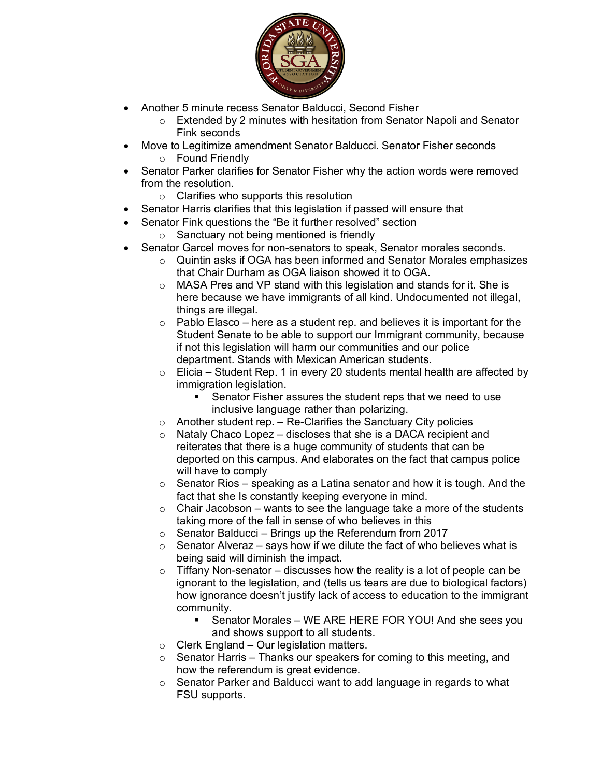

- Another 5 minute recess Senator Balducci, Second Fisher
	- o Extended by 2 minutes with hesitation from Senator Napoli and Senator Fink seconds
- Move to Legitimize amendment Senator Balducci. Senator Fisher seconds o Found Friendly
- Senator Parker clarifies for Senator Fisher why the action words were removed from the resolution.
	- o Clarifies who supports this resolution
- Senator Harris clarifies that this legislation if passed will ensure that
- Senator Fink questions the "Be it further resolved" section
	- o Sanctuary not being mentioned is friendly
- Senator Garcel moves for non-senators to speak, Senator morales seconds.
	- $\circ$  Quintin asks if OGA has been informed and Senator Morales emphasizes that Chair Durham as OGA liaison showed it to OGA.
	- o MASA Pres and VP stand with this legislation and stands for it. She is here because we have immigrants of all kind. Undocumented not illegal, things are illegal.
	- $\circ$  Pablo Elasco here as a student rep. and believes it is important for the Student Senate to be able to support our Immigrant community, because if not this legislation will harm our communities and our police department. Stands with Mexican American students.
	- $\circ$  Elicia Student Rep. 1 in every 20 students mental health are affected by immigration legislation.
		- Senator Fisher assures the student reps that we need to use inclusive language rather than polarizing.
	- $\circ$  Another student rep. Re-Clarifies the Sanctuary City policies
	- o Nataly Chaco Lopez discloses that she is a DACA recipient and reiterates that there is a huge community of students that can be deported on this campus. And elaborates on the fact that campus police will have to comply
	- $\circ$  Senator Rios speaking as a Latina senator and how it is tough. And the fact that she Is constantly keeping everyone in mind.
	- $\circ$  Chair Jacobson wants to see the language take a more of the students taking more of the fall in sense of who believes in this
	- $\circ$  Senator Balducci Brings up the Referendum from 2017
	- $\circ$  Senator Alveraz says how if we dilute the fact of who believes what is being said will diminish the impact.
	- $\circ$  Tiffany Non-senator discusses how the reality is a lot of people can be ignorant to the legislation, and (tells us tears are due to biological factors) how ignorance doesn't justify lack of access to education to the immigrant community.
		- § Senator Morales WE ARE HERE FOR YOU! And she sees you and shows support to all students.
	- $\circ$  Clerk England Our legislation matters.
	- $\circ$  Senator Harris Thanks our speakers for coming to this meeting, and how the referendum is great evidence.
	- o Senator Parker and Balducci want to add language in regards to what FSU supports.